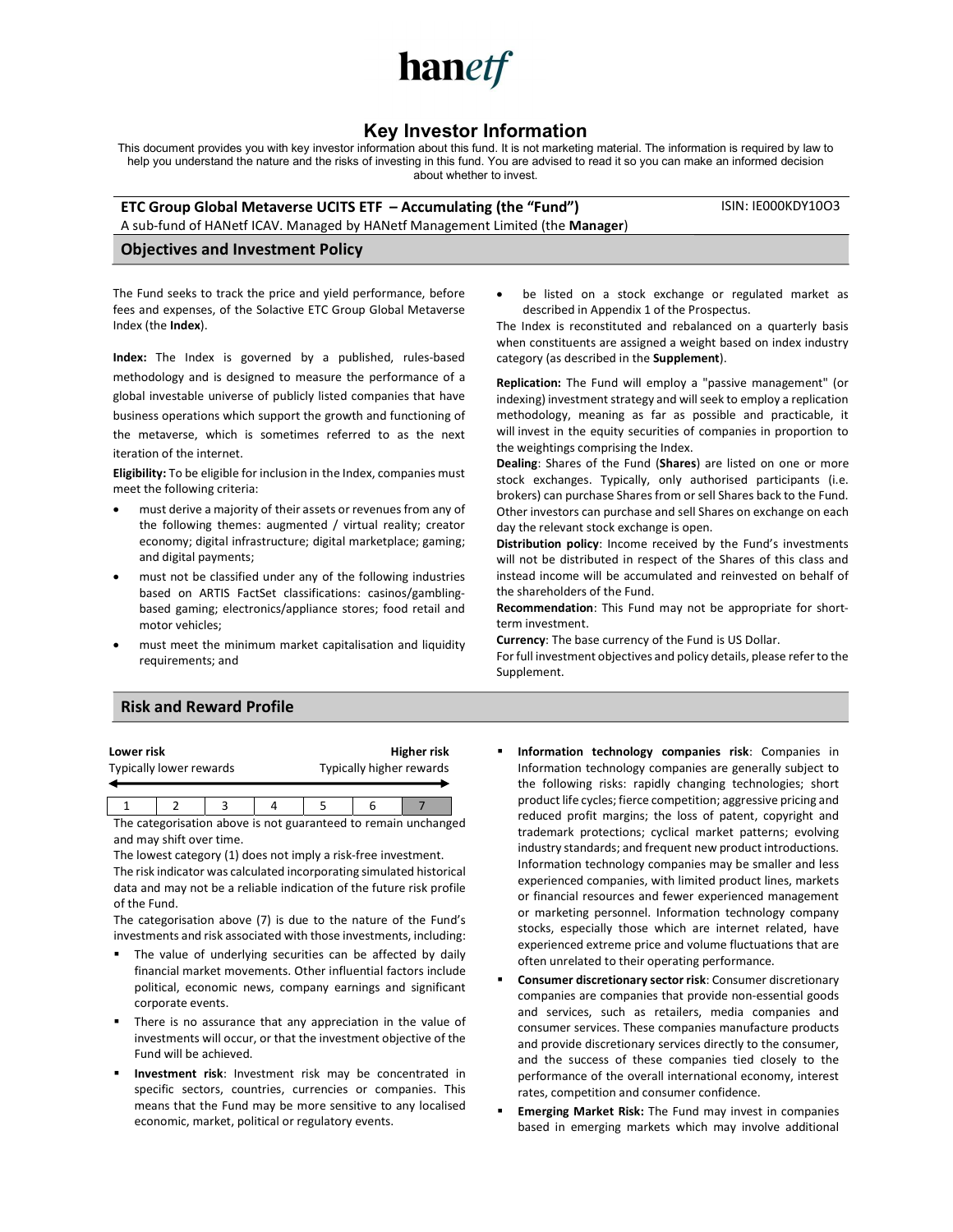

# Key Investor Information

This document provides you with key investor information about this fund. It is not marketing material. The information is required by law to help you understand the nature and the risks of investing in this fund. You are advised to read it so you can make an informed decision about whether to invest.

ETC Group Global Metaverse UCITS ETF – Accumulating (the "Fund") A sub-fund of HANetf ICAV. Managed by HANetf Management Limited (the Manager) ISIN: IE000KDY10O3

#### Objectives and Investment Policy

The Fund seeks to track the price and yield performance, before fees and expenses, of the Solactive ETC Group Global Metaverse Index (the Index).

Index: The Index is governed by a published, rules-based methodology and is designed to measure the performance of a global investable universe of publicly listed companies that have business operations which support the growth and functioning of the metaverse, which is sometimes referred to as the next iteration of the internet.

Eligibility: To be eligible for inclusion in the Index, companies must meet the following criteria:

- must derive a majority of their assets or revenues from any of the following themes: augmented / virtual reality; creator economy; digital infrastructure; digital marketplace; gaming; and digital payments;
- must not be classified under any of the following industries based on ARTIS FactSet classifications: casinos/gamblingbased gaming; electronics/appliance stores; food retail and motor vehicles;
- must meet the minimum market capitalisation and liquidity requirements; and

 be listed on a stock exchange or regulated market as described in Appendix 1 of the Prospectus.

The Index is reconstituted and rebalanced on a quarterly basis when constituents are assigned a weight based on index industry category (as described in the Supplement).

Replication: The Fund will employ a "passive management" (or indexing) investment strategy and will seek to employ a replication methodology, meaning as far as possible and practicable, it will invest in the equity securities of companies in proportion to the weightings comprising the Index.

Dealing: Shares of the Fund (Shares) are listed on one or more stock exchanges. Typically, only authorised participants (i.e. brokers) can purchase Shares from or sell Shares back to the Fund. Other investors can purchase and sell Shares on exchange on each day the relevant stock exchange is open.

Distribution policy: Income received by the Fund's investments will not be distributed in respect of the Shares of this class and instead income will be accumulated and reinvested on behalf of the shareholders of the Fund.

Recommendation: This Fund may not be appropriate for shortterm investment.

Currency: The base currency of the Fund is US Dollar. For full investment objectives and policy details, please refer to the Supplement.

## Risk and Reward Profile

| Lower risk              |  |  |  | Higher risk              |  |  |  |
|-------------------------|--|--|--|--------------------------|--|--|--|
| Typically lower rewards |  |  |  | Typically higher rewards |  |  |  |
|                         |  |  |  |                          |  |  |  |

1 2 3 4 5 6 7 The categorisation above is not guaranteed to remain unchanged and may shift over time.

The lowest category (1) does not imply a risk-free investment. The risk indicator was calculated incorporating simulated historical data and may not be a reliable indication of the future risk profile of the Fund.

The categorisation above (7) is due to the nature of the Fund's investments and risk associated with those investments, including:

- **The value of underlying securities can be affected by daily** financial market movements. Other influential factors include political, economic news, company earnings and significant corporate events.
- There is no assurance that any appreciation in the value of investments will occur, or that the investment objective of the Fund will be achieved.
- **Investment risk**: Investment risk may be concentrated in specific sectors, countries, currencies or companies. This means that the Fund may be more sensitive to any localised economic, market, political or regulatory events.
- Information technology companies risk: Companies in Information technology companies are generally subject to the following risks: rapidly changing technologies; short product life cycles; fierce competition; aggressive pricing and reduced profit margins; the loss of patent, copyright and trademark protections; cyclical market patterns; evolving industry standards; and frequent new product introductions. Information technology companies may be smaller and less experienced companies, with limited product lines, markets or financial resources and fewer experienced management or marketing personnel. Information technology company stocks, especially those which are internet related, have experienced extreme price and volume fluctuations that are often unrelated to their operating performance.
- Consumer discretionary sector risk: Consumer discretionary companies are companies that provide non-essential goods and services, such as retailers, media companies and consumer services. These companies manufacture products and provide discretionary services directly to the consumer, and the success of these companies tied closely to the performance of the overall international economy, interest rates, competition and consumer confidence.
- Emerging Market Risk: The Fund may invest in companies based in emerging markets which may involve additional